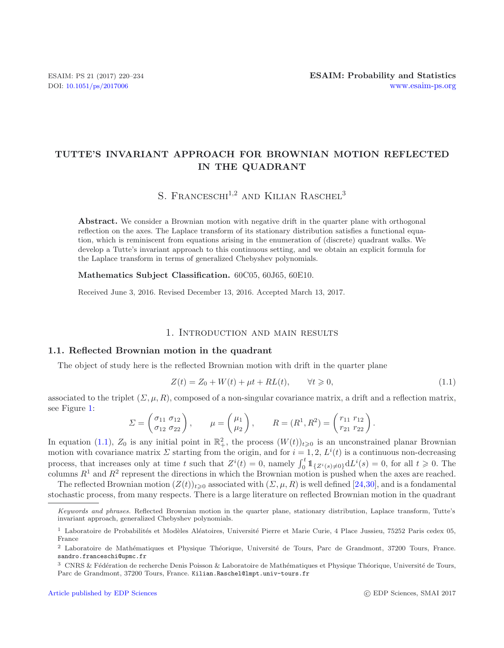# **TUTTE'S INVARIANT APPROACH FOR BROWNIAN MOTION REFLECTED IN THE QUADRANT**

<span id="page-0-0"></span>S. FRANCESCHI<sup>1,2</sup> AND KILIAN RASCHEL<sup>3</sup>

Abstract. We consider a Brownian motion with negative drift in the quarter plane with orthogonal reflection on the axes. The Laplace transform of its stationary distribution satisfies a functional equation, which is reminiscent from equations arising in the enumeration of (discrete) quadrant walks. We develop a Tutte's invariant approach to this continuous setting, and we obtain an explicit formula for the Laplace transform in terms of generalized Chebyshev polynomials.

**Mathematics Subject Classification.** 60C05, 60J65, 60E10.

Received June 3, 2016. Revised December 13, 2016. Accepted March 13, 2017.

## 1. Introduction and main results

## **1.1. Reflected Brownian motion in the quadrant**

The object of study here is the reflected Brownian motion with drift in the quarter plane

$$
Z(t) = Z_0 + W(t) + \mu t + RL(t), \qquad \forall t \geq 0,
$$
\n
$$
(1.1)
$$

associated to the triplet  $(\Sigma, \mu, R)$ , composed of a non-singular covariance matrix, a drift and a reflection matrix, see Figure [1:](#page-1-0)

$$
\Sigma = \begin{pmatrix} \sigma_{11} & \sigma_{12} \\ \sigma_{12} & \sigma_{22} \end{pmatrix}, \qquad \mu = \begin{pmatrix} \mu_1 \\ \mu_2 \end{pmatrix}, \qquad R = (R^1, R^2) = \begin{pmatrix} r_{11} & r_{12} \\ r_{21} & r_{22} \end{pmatrix}.
$$

In equation [\(1.1\)](#page-0-0),  $Z_0$  is any initial point in  $\mathbb{R}^2_+$ , the process  $(W(t))_{t\geqslant 0}$  is an unconstrained planar Brownian<br>motion with covariance matrix  $\sum$  starting from the origin, and for  $i-1, 2, I^i(t)$  is a conti motion with covariance matrix  $\Sigma$  starting from the origin, and for  $i = 1, 2, L^{i}(t)$  is a continuous non-decreasing process, that increases only at time t such that  $Z^{i}(t) = 0$ , namely  $\int_{0}^{t} 1_{\{Z^{i}(s) \neq 0\}} dL^{i}(s) = 0$ , for all  $t \geq 0$ . The process, that increases only at time t such that  $Z(t) = 0$ , hallely  $\int_0^1 \frac{1}{2^i(s)} dL(s) = 0$ , for all  $t \ge 0$ . The columns  $R^1$  and  $R^2$  represent the directions in which the Brownian motion is pushed when the axes are

The reflected Brownian motion  $(Z(t))_{t\geqslant 0}$  associated with  $(\Sigma, \mu, R)$  is well defined [\[24](#page-14-0)[,30](#page-14-1)], and is a fondamental<br>closetic precess from monumentary There is a large literature on reflected Brownian motion in the susp stochastic process, from many respects. There is a large literature on reflected Brownian motion in the quadrant

Keywords and phrases. Reflected Brownian motion in the quarter plane, stationary distribution, Laplace transform, Tutte's invariant approach, generalized Chebyshev polynomials.

 $1$  Laboratoire de Probabilités et Modèles Aléatoires, Université Pierre et Marie Curie, 4 Place Jussieu, 75252 Paris cedex 05, France

<sup>&</sup>lt;sup>2</sup> Laboratoire de Mathématiques et Physique Théorique, Université de Tours, Parc de Grandmont, 37200 Tours, France. sandro.franceschi@upmc.fr

 $3$  CNRS & Fédération de recherche Denis Poisson & Laboratoire de Mathématiques et Physique Théorique, Université de Tours, Parc de Grandmont, 37200 Tours, France. Kilian.Raschel@lmpt.univ-tours.fr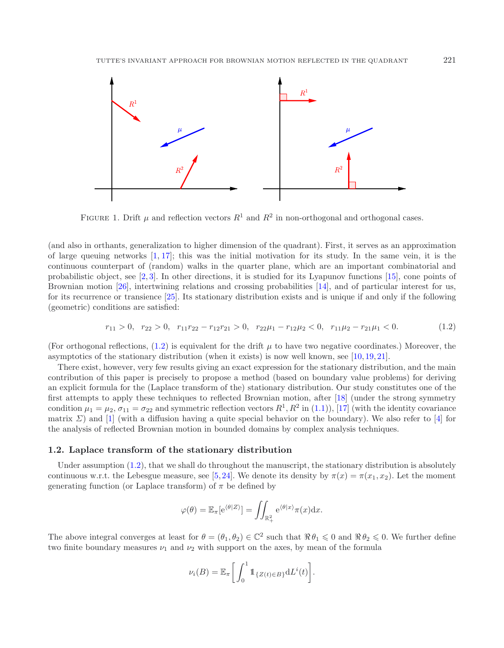<span id="page-1-0"></span>

<span id="page-1-1"></span>FIGURE 1. Drift  $\mu$  and reflection vectors  $R^1$  and  $R^2$  in non-orthogonal and orthogonal cases.

(and also in orthants, generalization to higher dimension of the quadrant). First, it serves as an approximation of large queuing networks  $[1, 17]$  $[1, 17]$  $[1, 17]$ ; this was the initial motivation for its study. In the same vein, it is the continuous counterpart of (random) walks in the quarter plane, which are an important combinatorial and probabilistic object, see [\[2](#page-13-1), [3](#page-13-2)]. In other directions, it is studied for its Lyapunov functions [\[15\]](#page-14-3), cone points of Brownian motion [\[26\]](#page-14-4), intertwining relations and crossing probabilities [\[14\]](#page-14-5), and of particular interest for us, for its recurrence or transience [\[25\]](#page-14-6). Its stationary distribution exists and is unique if and only if the following (geometric) conditions are satisfied:

$$
r_{11} > 0, r_{22} > 0, r_{11}r_{22} - r_{12}r_{21} > 0, r_{22}\mu_1 - r_{12}\mu_2 < 0, r_{11}\mu_2 - r_{21}\mu_1 < 0.
$$
 (1.2)

(For orthogonal reflections,  $(1.2)$ ) is equivalent for the drift  $\mu$  to have two negative coordinates.) Moreover, the asymptotics of the stationary distribution (when it exists) is now well known, see [\[10,](#page-14-7) [19,](#page-14-8) [21\]](#page-14-9).

There exist, however, very few results giving an exact expression for the stationary distribution, and the main contribution of this paper is precisely to propose a method (based on boundary value problems) for deriving an explicit formula for the (Laplace transform of the) stationary distribution. Our study constitutes one of the first attempts to apply these techniques to reflected Brownian motion, after [\[18\]](#page-14-10) (under the strong symmetry condition  $\mu_1 = \mu_2$ ,  $\sigma_{11} = \sigma_{22}$  and symmetric reflection vectors  $R^1, R^2$  in [\(1.1\)](#page-0-0)), [\[17](#page-14-2)] (with the identity covariance matrix  $\Sigma$ ) and [\[1\]](#page-13-0) (with a diffusion having a quite special behavior on the boundary). We also refer to [\[4](#page-13-3)] for the analysis of reflected Brownian motion in bounded domains by complex analysis techniques.

## **1.2. Laplace transform of the stationary distribution**

Under assumption [\(1.2\)](#page-1-1), that we shall do throughout the manuscript, the stationary distribution is absolutely continuous w.r.t. the Lebesgue measure, see [\[5](#page-13-4),[24](#page-14-0)]. We denote its density by  $\pi(x) = \pi(x_1, x_2)$ . Let the moment generating function (or Laplace transform) of  $\pi$  be defined by

$$
\varphi(\theta) = \mathbb{E}_{\pi}[\mathrm{e}^{\langle \theta | Z \rangle}] = \iint_{\mathbb{R}^2_+} \mathrm{e}^{\langle \theta | x \rangle} \pi(x) \mathrm{d}x.
$$

The above integral converges at least for  $\theta = (\theta_1, \theta_2) \in \mathbb{C}^2$  such that  $\Re \theta_1 \leq 0$  and  $\Re \theta_2 \leq 0$ . We further define two finite boundary measures  $\nu_1$  and  $\nu_2$  with support on the axes, by mean of the formula

$$
\nu_i(B) = \mathbb{E}_{\pi} \bigg[ \int_0^1 \mathbb{1}_{\{Z(t) \in B\}} \mathrm{d}L^i(t) \bigg].
$$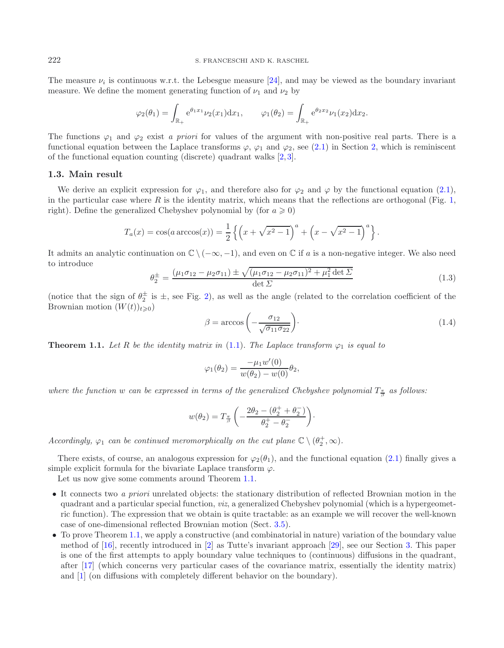The measure  $\nu_i$  is continuous w.r.t. the Lebesgue measure [\[24](#page-14-0)], and may be viewed as the boundary invariant measure. We define the moment generating function of  $\nu_1$  and  $\nu_2$  by

$$
\varphi_2(\theta_1) = \int_{\mathbb{R}_+} e^{\theta_1 x_1} \nu_2(x_1) dx_1, \qquad \varphi_1(\theta_2) = \int_{\mathbb{R}_+} e^{\theta_2 x_2} \nu_1(x_2) dx_2.
$$

<span id="page-2-1"></span>The functions  $\varphi_1$  and  $\varphi_2$  exist *a priori* for values of the argument with non-positive real parts. There is a functional equation between the Laplace transforms  $\varphi$ ,  $\varphi_1$  and  $\varphi_2$ , see [\(2.1\)](#page-3-0) in Section [2,](#page-3-1) which is reminiscent of the functional equation counting (discrete) quadrant walks [\[2](#page-13-1), [3](#page-13-2)].

## <span id="page-2-2"></span>**1.3. Main result**

We derive an explicit expression for  $\varphi_1$ , and therefore also for  $\varphi_2$  and  $\varphi$  by the functional equation [\(2.1\)](#page-3-0), in the particular case where  $R$  is the identity matrix, which means that the reflections are orthogonal (Fig. [1,](#page-1-0) right). Define the generalized Chebyshev polynomial by (for  $a \ge 0$ )

$$
T_a(x) = \cos(a \arccos(x)) = \frac{1}{2} \left\{ \left( x + \sqrt{x^2 - 1} \right)^a + \left( x - \sqrt{x^2 - 1} \right)^a \right\}.
$$

It admits an analytic continuation on  $\mathbb{C} \setminus (-\infty, -1)$ , and even on  $\mathbb{C}$  if a is a non-negative integer. We also need to introduce

$$
\theta_2^{\pm} = \frac{(\mu_1 \sigma_{12} - \mu_2 \sigma_{11}) \pm \sqrt{(\mu_1 \sigma_{12} - \mu_2 \sigma_{11})^2 + \mu_1^2 \det \Sigma}}{\det \Sigma}
$$
(1.3)

(notice that the sign of  $\theta_2^{\pm}$  is  $\pm$ , see Fig. [2\)](#page-5-0), as well as the angle (related to the correlation coefficient of the Brownian motion  $(W(t))_{\infty}$ ) Brownian motion  $(W(t))_{t\geqslant 0}$ 

$$
\beta = \arccos\left(-\frac{\sigma_{12}}{\sqrt{\sigma_{11}\sigma_{22}}}\right). \tag{1.4}
$$

<span id="page-2-0"></span>**Theorem 1.1.** Let R be the identity matrix in [\(1.1\)](#page-0-0). The Laplace transform  $\varphi_1$  is equal to

$$
\varphi_1(\theta_2) = \frac{-\mu_1 w'(0)}{w(\theta_2) - w(0)} \theta_2,
$$

where the function w can be expressed in terms of the generalized Chebyshev polynomial  $T_{\frac{\pi}{\beta}}$  as follows:

$$
w(\theta_2) = T_{\frac{\pi}{\beta}} \left( -\frac{2\theta_2 - (\theta_2^+ + \theta_2^-)}{\theta_2^+ - \theta_2^-} \right).
$$

*Accordingly,*  $\varphi_1$  *can be continued meromorphically on the cut plane*  $\mathbb{C} \setminus (\theta_2^+, \infty)$ *.* 

There exists, of course, an analogous expression for  $\varphi_2(\theta_1)$ , and the functional equation [\(2.1\)](#page-3-0) finally gives a simple explicit formula for the bivariate Laplace transform  $\varphi$ .

Let us now give some comments around Theorem [1.1.](#page-2-0)

- It connects two *a priori* unrelated objects: the stationary distribution of reflected Brownian motion in the quadrant and a particular special function, *viz*, a generalized Chebyshev polynomial (which is a hypergeometric function). The expression that we obtain is quite tractable: as an example we will recover the well-known case of one-dimensional reflected Brownian motion (Sect. [3.5\)](#page-7-0).
- To prove Theorem [1.1,](#page-2-0) we apply a constructive (and combinatorial in nature) variation of the boundary value method of [\[16\]](#page-14-11), recently introduced in [\[2\]](#page-13-1) as Tutte's invariant approach [\[29\]](#page-14-12), see our Section [3.](#page-5-1) This paper is one of the first attempts to apply boundary value techniques to (continuous) diffusions in the quadrant, after [\[17\]](#page-14-2) (which concerns very particular cases of the covariance matrix, essentially the identity matrix) and [\[1\]](#page-13-0) (on diffusions with completely different behavior on the boundary).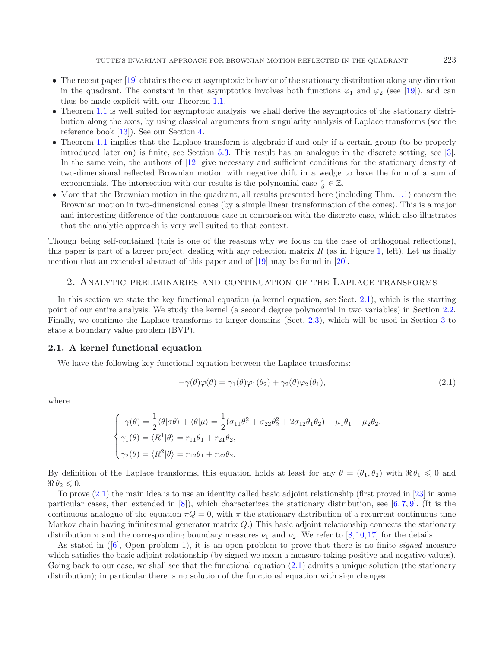- The recent paper [\[19\]](#page-14-8) obtains the exact asymptotic behavior of the stationary distribution along any direction in the quadrant. The constant in that asymptotics involves both functions  $\varphi_1$  and  $\varphi_2$  (see [\[19](#page-14-8)]), and can thus be made explicit with our Theorem [1.1.](#page-2-0)
- Theorem [1.1](#page-2-0) is well suited for asymptotic analysis: we shall derive the asymptotics of the stationary distribution along the axes, by using classical arguments from singularity analysis of Laplace transforms (see the reference book [\[13\]](#page-14-13)). See our Section [4.](#page-9-0)
- Theorem [1.1](#page-2-0) implies that the Laplace transform is algebraic if and only if a certain group (to be properly introduced later on) is finite, see Section [5.3.](#page-12-0) This result has an analogue in the discrete setting, see [\[3](#page-13-2)]. In the same vein, the authors of [\[12](#page-14-14)] give necessary and sufficient conditions for the stationary density of two-dimensional reflected Brownian motion with negative drift in a wedge to have the form of a sum of exponentials. The intersection with our results is the polynomial case  $\frac{\pi}{\beta} \in \mathbb{Z}$ .
- More that the Brownian motion in the quadrant, all results presented here (including Thm. [1.1\)](#page-2-0) concern the Brownian motion in two-dimensional cones (by a simple linear transformation of the cones). This is a major and interesting difference of the continuous case in comparison with the discrete case, which also illustrates that the analytic approach is very well suited to that context.

Though being self-contained (this is one of the reasons why we focus on the case of orthogonal reflections), this paper is part of a larger project, dealing with any reflection matrix  $R$  (as in Figure [1,](#page-1-0) left). Let us finally mention that an extended abstract of this paper and of [\[19\]](#page-14-8) may be found in [\[20\]](#page-14-15).

## 2. Analytic preliminaries and continuation of the Laplace transforms

<span id="page-3-1"></span>In this section we state the key functional equation (a kernel equation, see Sect. [2.1\)](#page-3-2), which is the starting point of our entire analysis. We study the kernel (a second degree polynomial in two variables) in Section [2.2.](#page-4-0) Finally, we continue the Laplace transforms to larger domains (Sect. [2.3\)](#page-4-1), which will be used in Section [3](#page-5-1) to state a boundary value problem (BVP).

## <span id="page-3-2"></span>**2.1. A kernel functional equation**

We have the following key functional equation between the Laplace transforms:

<span id="page-3-0"></span>
$$
-\gamma(\theta)\varphi(\theta) = \gamma_1(\theta)\varphi_1(\theta_2) + \gamma_2(\theta)\varphi_2(\theta_1), \qquad (2.1)
$$

where

$$
\begin{cases}\n\gamma(\theta) = \frac{1}{2} \langle \theta | \sigma \theta \rangle + \langle \theta | \mu \rangle = \frac{1}{2} (\sigma_{11} \theta_1^2 + \sigma_{22} \theta_2^2 + 2 \sigma_{12} \theta_1 \theta_2) + \mu_1 \theta_1 + \mu_2 \theta_2, \\
\gamma_1(\theta) = \langle R^1 | \theta \rangle = r_{11} \theta_1 + r_{21} \theta_2, \\
\gamma_2(\theta) = \langle R^2 | \theta \rangle = r_{12} \theta_1 + r_{22} \theta_2.\n\end{cases}
$$

By definition of the Laplace transforms, this equation holds at least for any  $\theta = (\theta_1, \theta_2)$  with  $\Re \theta_1 \leq 0$  and  $\Re \theta_2 \leqslant 0.$ 

To prove [\(2.1\)](#page-3-0) the main idea is to use an identity called basic adjoint relationship (first proved in [\[23](#page-14-16)] in some particular cases, then extended in  $[8]$ ), which characterizes the stationary distribution, see  $[6, 7, 9]$  $[6, 7, 9]$  $[6, 7, 9]$  $[6, 7, 9]$  $[6, 7, 9]$ . (It is the continuous analogue of the equation  $\pi Q = 0$ , with  $\pi$  the stationary distribution of a recurrent continuous-time Markov chain having infinitesimal generator matrix Q.) This basic adjoint relationship connects the stationary distribution  $\pi$  and the corresponding boundary measures  $\nu_1$  and  $\nu_2$ . We refer to [\[8](#page-13-5), [10](#page-14-7), [17](#page-14-2)] for the details.

As stated in ([\[6](#page-13-6)], Open problem 1), it is an open problem to prove that there is no finite *signed* measure which satisfies the basic adjoint relationship (by signed we mean a measure taking positive and negative values). Going back to our case, we shall see that the functional equation  $(2.1)$  admits a unique solution (the stationary distribution); in particular there is no solution of the functional equation with sign changes.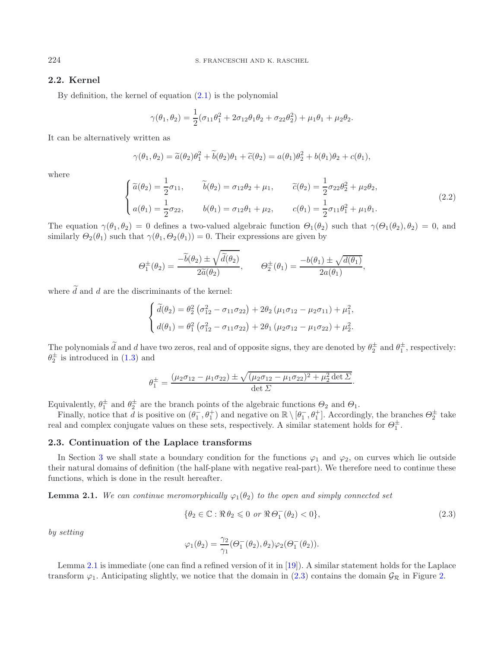## <span id="page-4-0"></span>**2.2. Kernel**

By definition, the kernel of equation  $(2.1)$  is the polynomial

$$
\gamma(\theta_1, \theta_2) = \frac{1}{2}(\sigma_{11}\theta_1^2 + 2\sigma_{12}\theta_1\theta_2 + \sigma_{22}\theta_2^2) + \mu_1\theta_1 + \mu_2\theta_2.
$$

It can be alternatively written as

$$
\gamma(\theta_1, \theta_2) = \tilde{a}(\theta_2)\theta_1^2 + \tilde{b}(\theta_2)\theta_1 + \tilde{c}(\theta_2) = a(\theta_1)\theta_2^2 + b(\theta_1)\theta_2 + c(\theta_1),
$$

where

$$
\begin{cases}\n\tilde{a}(\theta_2) = \frac{1}{2}\sigma_{11}, & \tilde{b}(\theta_2) = \sigma_{12}\theta_2 + \mu_1, & \tilde{c}(\theta_2) = \frac{1}{2}\sigma_{22}\theta_2^2 + \mu_2\theta_2, \\
a(\theta_1) = \frac{1}{2}\sigma_{22}, & b(\theta_1) = \sigma_{12}\theta_1 + \mu_2, & c(\theta_1) = \frac{1}{2}\sigma_{11}\theta_1^2 + \mu_1\theta_1.\n\end{cases}
$$
\n(2.2)

The equation  $\gamma(\theta_1, \theta_2) = 0$  defines a two-valued algebraic function  $\Theta_1(\theta_2)$  such that  $\gamma(\Theta_1(\theta_2), \theta_2) = 0$ , and similarly  $\Theta_2(\theta_1)$  such that  $\gamma(\theta_1, \Theta_2(\theta_1)) = 0$ . Their expressions are given by

$$
\Theta_1^{\pm}(\theta_2) = \frac{-\widetilde{b}(\theta_2) \pm \sqrt{\widetilde{d}(\theta_2)}}{2\widetilde{a}(\theta_2)}, \qquad \Theta_2^{\pm}(\theta_1) = \frac{-b(\theta_1) \pm \sqrt{d(\theta_1)}}{2a(\theta_1)},
$$

where  $\tilde{d}$  and d are the discriminants of the kernel:

$$
\begin{cases} \widetilde{d}(\theta_2) = \theta_2^2 (\sigma_{12}^2 - \sigma_{11}\sigma_{22}) + 2\theta_2 (\mu_1 \sigma_{12} - \mu_2 \sigma_{11}) + \mu_1^2, \\ d(\theta_1) = \theta_1^2 (\sigma_{12}^2 - \sigma_{11}\sigma_{22}) + 2\theta_1 (\mu_2 \sigma_{12} - \mu_1 \sigma_{22}) + \mu_2^2. \end{cases}
$$

The polynomials  $\tilde{d}$  and d have two zeros, real and of opposite signs, they are denoted by  $\theta_2^{\pm}$  and  $\theta_1^{\pm}$ , respectively:<br> $\theta_1^{\pm}$  is introduced in (1.3) and  $\theta_2^{\pm}$  is introduced in [\(1.3\)](#page-2-1) and

<span id="page-4-3"></span>
$$
\theta_1^{\pm} = \frac{(\mu_2 \sigma_{12} - \mu_1 \sigma_{22}) \pm \sqrt{(\mu_2 \sigma_{12} - \mu_1 \sigma_{22})^2 + \mu_2^2 \det \Sigma}}{\det \Sigma}.
$$

Equivalently,  $\theta_1^{\pm}$  and  $\theta_2^{\pm}$  are the branch points of the algebraic functions  $\Theta_2$  and  $\Theta_1$ .<br>Finally notice that d is positive on  $(\theta^- \theta^+)$  and positive on  $\mathbb{R} \setminus [\theta^- \theta^+]$ . According

Finally, notice that  $\bar{d}$  is positive on  $(\theta_1^-, \theta_1^+)$  and negative on  $\mathbb{R} \setminus [\theta_1^-, \theta_1^+]$ . Accordingly, the branches  $\Theta_2^{\pm}$  take real and complex conjugate values on these sets, respectively. A similar statement holds for  $\Theta_1^{\pm}$ .

## <span id="page-4-1"></span>**2.3. Continuation of the Laplace transforms**

In Section [3](#page-5-1) we shall state a boundary condition for the functions  $\varphi_1$  and  $\varphi_2$ , on curves which lie outside their natural domains of definition (the half-plane with negative real-part). We therefore need to continue these functions, which is done in the result hereafter.

<span id="page-4-2"></span>**Lemma 2.1.** *We can continue meromorphically*  $\varphi_1(\theta_2)$  *to the open and simply connected set* 

$$
\{\theta_2 \in \mathbb{C} : \Re \,\theta_2 \leq 0 \text{ or } \Re \,\Theta_1^-(\theta_2) < 0\},\tag{2.3}
$$

*by setting*

$$
\varphi_1(\theta_2) = \frac{\gamma_2}{\gamma_1} (\Theta_1^-(\theta_2), \theta_2) \varphi_2(\Theta_1^-(\theta_2)).
$$

Lemma [2.1](#page-4-2) is immediate (one can find a refined version of it in [\[19\]](#page-14-8)). A similar statement holds for the Laplace transform  $\varphi_1$ . Anticipating slightly, we notice that the domain in [\(2.3\)](#page-4-3) contains the domain  $\mathcal{G}_{\mathcal{R}}$  in Figure [2.](#page-5-0)

<span id="page-4-4"></span>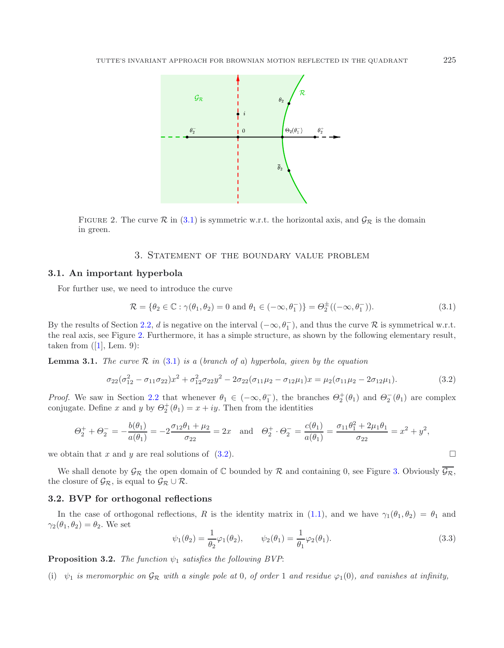<span id="page-5-2"></span><span id="page-5-0"></span>

FIGURE 2. The curve  $\mathcal R$  in [\(3.1\)](#page-5-2) is symmetric w.r.t. the horizontal axis, and  $\mathcal G_{\mathcal R}$  is the domain in green.

## <span id="page-5-3"></span>3. Statement of the boundary value problem

## <span id="page-5-1"></span>**3.1. An important hyperbola**

For further use, we need to introduce the curve

$$
\mathcal{R} = \{\theta_2 \in \mathbb{C} : \gamma(\theta_1, \theta_2) = 0 \text{ and } \theta_1 \in (-\infty, \theta_1^-)\} = \Theta_2^{\pm}((-\infty, \theta_1^-)).
$$
\n(3.1)

By the results of Section [2.2,](#page-4-0) d is negative on the interval  $(-\infty, \theta_1^-)$ , and thus the curve R is symmetrical w.r.t.<br>the real axis, see Figure 2. Furthermore, it has a simple structure, as shown by the following element the real axis, see Figure [2.](#page-5-0) Furthermore, it has a simple structure, as shown by the following elementary result, taken from  $([1],$  $([1],$  $([1],$  Lem. 9):

**Lemma 3.1.** *The curve*  $\mathcal{R}$  *in* [\(3.1\)](#page-5-2) *is a* (*branch of a*) *hyperbola, given by the equation* 

$$
\sigma_{22}(\sigma_{12}^2 - \sigma_{11}\sigma_{22})x^2 + \sigma_{12}^2 \sigma_{22}y^2 - 2\sigma_{22}(\sigma_{11}\mu_2 - \sigma_{12}\mu_1)x = \mu_2(\sigma_{11}\mu_2 - 2\sigma_{12}\mu_1). \tag{3.2}
$$

<span id="page-5-4"></span>*Proof.* We saw in Section [2.2](#page-4-0) that whenever  $\theta_1 \in (-\infty, \theta_1)$ , the branches  $\Theta_2^+(\theta_1)$  and  $\Theta_2^-(\theta_1)$  are complex conjugate. Define x and u by  $\Theta_1^+(\theta_1) = x + iy$ . Then from the identities conjugate. Define x and y by  $\Theta_2^+(\theta_1) = x + iy$ . Then from the identities

$$
\Theta_2^+ + \Theta_2^- = -\frac{b(\theta_1)}{a(\theta_1)} = -2\frac{\sigma_{12}\theta_1 + \mu_2}{\sigma_{22}} = 2x \text{ and } \Theta_2^+ \cdot \Theta_2^- = \frac{c(\theta_1)}{a(\theta_1)} = \frac{\sigma_{11}\theta_1^2 + 2\mu_1\theta_1}{\sigma_{22}} = x^2 + y^2,
$$

we obtain that x and y are real solutions of [\(3.2\)](#page-5-3).

We shall denote by  $\mathcal{G}_{\mathcal{R}}$  the open domain of  $\mathbb C$  bounded by  $\mathcal R$  and containing 0, see Figure [3.](#page-11-0) Obviously  $\overline{\mathcal{G}_{\mathcal{R}}}$ , the closure of  $\mathcal{G}_{\mathcal{R}}$ , is equal to  $\mathcal{G}_{\mathcal{R}} \cup \mathcal{R}$ .

### **3.2. BVP for orthogonal reflections**

In the case of orthogonal reflections, R is the identity matrix in [\(1.1\)](#page-0-0), and we have  $\gamma_1(\theta_1, \theta_2) = \theta_1$  and  $\gamma_2(\theta_1, \theta_2) = \theta_2$ . We set

$$
\psi_1(\theta_2) = \frac{1}{\theta_2} \varphi_1(\theta_2), \qquad \psi_2(\theta_1) = \frac{1}{\theta_1} \varphi_2(\theta_1).
$$
\n(3.3)

<span id="page-5-5"></span>**Proposition 3.2.** *The function*  $\psi_1$  *satisfies the following BVP*:

(i)  $\psi_1$  *is meromorphic on*  $\mathcal{G}_{\mathcal{R}}$  *with a single pole at* 0*, of order* 1 *and residue*  $\varphi_1(0)$ *, and vanishes at infinity,*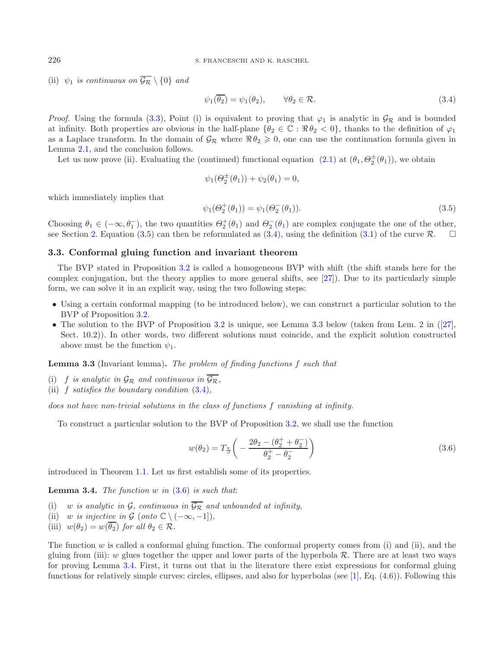(ii)  $\psi_1$  *is continuous on*  $\overline{\mathcal{G}_{\mathcal{R}}} \setminus \{0\}$  *and* 

$$
\psi_1(\overline{\theta_2}) = \psi_1(\theta_2), \qquad \forall \theta_2 \in \mathcal{R}.\tag{3.4}
$$

*Proof.* Using the formula [\(3.3\)](#page-5-4), Point (i) is equivalent to proving that  $\varphi_1$  is analytic in  $\mathcal{G}_{\mathcal{R}}$  and is bounded at infinity. Both properties are obvious in the half-plane  $\{\theta_2 \in \mathbb{C} : \Re \theta_2 < 0\}$ , thanks to the definition of  $\varphi_1$ as a Laplace transform. In the domain of  $\mathcal{G}_{\mathcal{R}}$  where  $\Re \theta_2 \geq 0$ , one can use the continuation formula given in Lemma [2.1,](#page-4-2) and the conclusion follows.

Let us now prove (ii). Evaluating the (continued) functional equation  $(2.1)$  at  $(\theta_1, \Theta_2^{\pm}(\theta_1))$ , we obtain

$$
\psi_1(\Theta_2^{\pm}(\theta_1)) + \psi_2(\theta_1) = 0,
$$

which immediately implies that

<span id="page-6-3"></span>
$$
\psi_1(\Theta_2^+(\theta_1)) = \psi_1(\Theta_2^-(\theta_1)).
$$
\n(3.5)

Choosing  $\theta_1 \in (-\infty, \theta_1^-)$ , the two quantities  $\Theta_2^+(\theta_1)$  and  $\Theta_2^-(\theta_1)$  are complex conjugate the one of the other, see Section [2.](#page-3-1) Equation [\(3.5\)](#page-6-0) can then be reformulated as [\(3.4\)](#page-6-1), using the definition [\(3.1\)](#page-5-2) of the curve  $\mathcal{R}$ .  $\square$ 

## **3.3. Conformal gluing function and invariant theorem**

The BVP stated in Proposition [3.2](#page-5-5) is called a homogeneous BVP with shift (the shift stands here for the complex conjugation, but the theory applies to more general shifts, see [\[27\]](#page-14-17)). Due to its particularly simple form, we can solve it in an explicit way, using the two following steps:

- Using a certain conformal mapping (to be introduced below), we can construct a particular solution to the BVP of Proposition [3.2.](#page-5-5)
- The solution to the BVP of Proposition [3.2](#page-5-5) is unique, see Lemma [3.3](#page-6-2) below (taken from Lem. 2 in ([\[27](#page-14-17)], Sect. 10.2)). In other words, two different solutions must coincide, and the explicit solution constructed above must be the function  $\psi_1$ .

<span id="page-6-2"></span>**Lemma 3.3** (Invariant lemma)**.** *The problem of finding functions* f *such that*

- (i) f *is analytic in*  $\mathcal{G}_{\mathcal{R}}$  *and continuous in*  $\overline{\mathcal{G}_{\mathcal{R}}}$ *,*
- (ii) f *satisfies the boundary condition* [\(3.4\)](#page-6-1)*,*

*does not have non-trivial solutions in the class of functions* f *vanishing at infinity.*

To construct a particular solution to the BVP of Proposition [3.2,](#page-5-5) we shall use the function

$$
w(\theta_2) = T_{\frac{\pi}{\beta}} \left( -\frac{2\theta_2 - (\theta_2^+ + \theta_2^-)}{\theta_2^+ - \theta_2^-} \right) \tag{3.6}
$$

<span id="page-6-4"></span>introduced in Theorem [1.1.](#page-2-0) Let us first establish some of its properties.

**Lemma 3.4.** *The function* w *in* [\(3.6\)](#page-6-3) *is such that*:

- (i) w *is analytic in*  $\mathcal{G}_f$ , *continuous in*  $\overline{\mathcal{G}_{\mathcal{R}}}$  *and unbounded at infinity*,
- (ii) w *is injective in*  $\mathcal{G}$  (*onto*  $\mathbb{C} \setminus (-\infty, -1]$ ),
- (iii)  $w(\theta_2) = w(\overline{\theta_2})$  *for all*  $\theta_2 \in \mathcal{R}$ *.*

The function  $w$  is called a conformal gluing function. The conformal property comes from (i) and (ii), and the gluing from (iii): w glues together the upper and lower parts of the hyperbola  $\mathcal{R}$ . There are at least two ways for proving Lemma [3.4.](#page-6-4) First, it turns out that in the literature there exist expressions for conformal gluing functions for relatively simple curves: circles, ellipses, and also for hyperbolas (see [\[1\]](#page-13-0), Eq. (4.6)). Following this

<span id="page-6-1"></span><span id="page-6-0"></span>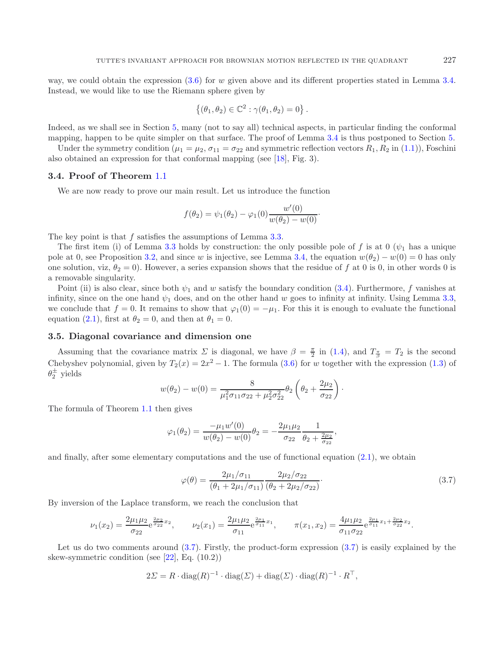way, we could obtain the expression  $(3.6)$  for w given above and its different properties stated in Lemma [3.4.](#page-6-4) Instead, we would like to use the Riemann sphere given by

$$
\{(\theta_1,\theta_2)\in\mathbb{C}^2:\gamma(\theta_1,\theta_2)=0\}.
$$

Indeed, as we shall see in Section [5,](#page-10-0) many (not to say all) technical aspects, in particular finding the conformal mapping, happen to be quite simpler on that surface. The proof of Lemma [3.4](#page-6-4) is thus postponed to Section [5.](#page-10-0)

Under the symmetry condition ( $\mu_1 = \mu_2$ ,  $\sigma_{11} = \sigma_{22}$  and symmetric reflection vectors  $R_1, R_2$  in [\(1.1\)](#page-0-0)), Foschini also obtained an expression for that conformal mapping (see [\[18](#page-14-10)], Fig. 3).

#### **3.4. Proof of Theorem** [1.1](#page-2-0)

We are now ready to prove our main result. Let us introduce the function

$$
f(\theta_2) = \psi_1(\theta_2) - \varphi_1(0) \frac{w'(0)}{w(\theta_2) - w(0)}.
$$

The key point is that f satisfies the assumptions of Lemma [3.3.](#page-6-2)

The first item (i) of Lemma [3.3](#page-6-2) holds by construction: the only possible pole of f is at 0 ( $\psi_1$  has a unique pole at 0, see Proposition [3.2,](#page-5-5) and since w is injective, see Lemma [3.4,](#page-6-4) the equation  $w(\theta_2) - w(0) = 0$  has only one solution, viz,  $\theta_2 = 0$ ). However, a series expansion shows that the residue of f at 0 is 0, in other words 0 is a removable singularity.

Point (ii) is also clear, since both  $\psi_1$  and w satisfy the boundary condition [\(3.4\)](#page-6-1). Furthermore, f vanishes at infinity, since on the one hand  $\psi_1$  does, and on the other hand w goes to infinity at infinity. Using Lemma [3.3,](#page-6-2) we conclude that  $f = 0$ . It remains to show that  $\varphi_1(0) = -\mu_1$ . For this it is enough to evaluate the functional equation [\(2.1\)](#page-3-0), first at  $\theta_2 = 0$ , and then at  $\theta_1 = 0$ .

## <span id="page-7-0"></span>**3.5. Diagonal covariance and dimension one**

Assuming that the covariance matrix  $\Sigma$  is diagonal, we have  $\beta = \frac{\pi}{2}$  in [\(1.4\)](#page-2-2), and  $T_{\frac{\pi}{\beta}} = T_2$  is the second<br>geological polynomial given by  $T(\alpha) = 2\alpha^2 - 1$ . The formula (2.6) for an territor with the european Chebyshev polynomial, given by  $T_2(x)=2x^2 - 1$ . The formula [\(3.6\)](#page-6-3) for w together with the expression [\(1.3\)](#page-2-1) of  $\theta_2^{\pm}$  yields

<span id="page-7-1"></span>
$$
w(\theta_2) - w(0) = \frac{8}{\mu_1^2 \sigma_{11} \sigma_{22} + \mu_2^2 \sigma_{22}^2} \theta_2 \left(\theta_2 + \frac{2\mu_2}{\sigma_{22}}\right).
$$

The formula of Theorem [1.1](#page-2-0) then gives

$$
\varphi_1(\theta_2) = \frac{-\mu_1 w'(0)}{w(\theta_2) - w(0)} \theta_2 = -\frac{2\mu_1 \mu_2}{\sigma_{22}} \frac{1}{\theta_2 + \frac{2\mu_2}{\sigma_{22}}},
$$

and finally, after some elementary computations and the use of functional equation [\(2.1\)](#page-3-0), we obtain

$$
\varphi(\theta) = \frac{2\mu_1/\sigma_{11}}{(\theta_1 + 2\mu_1/\sigma_{11})} \frac{2\mu_2/\sigma_{22}}{(\theta_2 + 2\mu_2/\sigma_{22})}.
$$
\n(3.7)

By inversion of the Laplace transform, we reach the conclusion that

$$
\nu_1(x_2) = \frac{2\mu_1\mu_2}{\sigma_{22}} e^{\frac{2\mu_2}{\sigma_{22}}x_2}, \qquad \nu_2(x_1) = \frac{2\mu_1\mu_2}{\sigma_{11}} e^{\frac{2\mu_1}{\sigma_{11}}x_1}, \qquad \pi(x_1, x_2) = \frac{4\mu_1\mu_2}{\sigma_{11}\sigma_{22}} e^{\frac{2\mu_1}{\sigma_{11}}x_1 + \frac{2\mu_2}{\sigma_{22}}x_2}.
$$

Let us do two comments around  $(3.7)$ . Firstly, the product-form expression  $(3.7)$  is easily explained by the skew-symmetric condition (see [\[22\]](#page-14-18), Eq. (10.2))

$$
2\Sigma = R \cdot \text{diag}(R)^{-1} \cdot \text{diag}(\Sigma) + \text{diag}(\Sigma) \cdot \text{diag}(R)^{-1} \cdot R^{\top},
$$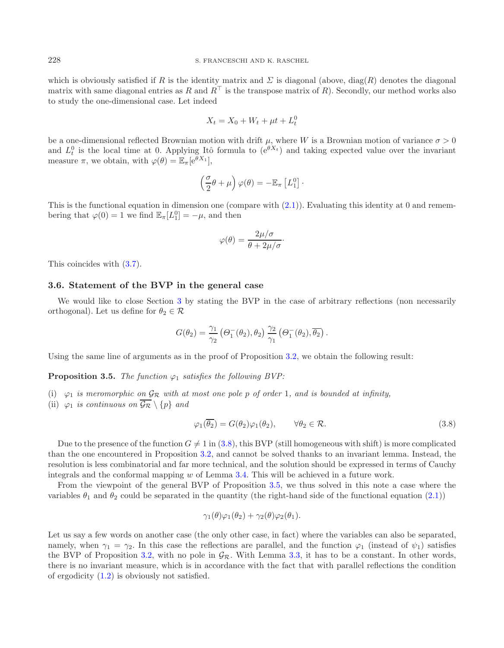which is obviously satisfied if R is the identity matrix and  $\Sigma$  is diagonal (above, diag(R) denotes the diagonal matrix with same diagonal entries as R and  $R^{\top}$  is the transpose matrix of R). Secondly, our method works also to study the one-dimensional case. Let indeed

$$
X_t = X_0 + W_t + \mu t + L_t^0
$$

be a one-dimensional reflected Brownian motion with drift  $\mu$ , where W is a Brownian motion of variance  $\sigma > 0$ and  $L_t^0$  is the local time at 0. Applying Itô formula to  $(e^{\theta X_t})$  and taking expected value over the invariant measure  $\pi$ , we obtain, with  $\varphi(\theta) = \mathbb{E}_{\pi}[e^{\theta X_1}],$ 

$$
\left(\frac{\sigma}{2}\theta + \mu\right)\varphi(\theta) = -\mathbb{E}_{\pi}\left[L_1^0\right].
$$

This is the functional equation in dimension one (compare with  $(2.1)$ ). Evaluating this identity at 0 and remembering that  $\varphi(0) = 1$  we find  $\mathbb{E}_{\pi}[L_1^0] = -\mu$ , and then

$$
\varphi(\theta) = \frac{2\mu/\sigma}{\theta + 2\mu/\sigma}.
$$

This coincides with [\(3.7\)](#page-7-1).

## **3.6. Statement of the BVP in the general case**

We would like to close Section [3](#page-5-1) by stating the BVP in the case of arbitrary reflections (non necessarily orthogonal). Let us define for  $\theta_2 \in \mathcal{R}$ 

<span id="page-8-0"></span>
$$
G(\theta_2) = \frac{\gamma_1}{\gamma_2} \left( \Theta_1^-(\theta_2), \theta_2 \right) \frac{\gamma_2}{\gamma_1} \left( \Theta_1^-(\theta_2), \overline{\theta_2} \right).
$$

<span id="page-8-1"></span>Using the same line of arguments as in the proof of Proposition [3.2,](#page-5-5) we obtain the following result:

**Proposition 3.5.** *The function*  $\varphi_1$  *satisfies the following BVP:* 

- (i)  $\varphi_1$  *is meromorphic on*  $\mathcal{G}_{\mathcal{R}}$  *with at most one pole p of order* 1*, and is bounded at infinity,*
- (ii)  $\varphi_1$  *is continuous on*  $\overline{\mathcal{G}_{\mathcal{R}}} \setminus \{p\}$  *and*

$$
\varphi_1(\overline{\theta_2}) = G(\theta_2)\varphi_1(\theta_2), \qquad \forall \theta_2 \in \mathcal{R}.\tag{3.8}
$$

Due to the presence of the function  $G \neq 1$  in [\(3.8\)](#page-8-0), this BVP (still homogeneous with shift) is more complicated than the one encountered in Proposition [3.2,](#page-5-5) and cannot be solved thanks to an invariant lemma. Instead, the resolution is less combinatorial and far more technical, and the solution should be expressed in terms of Cauchy integrals and the conformal mapping w of Lemma [3.4.](#page-6-4) This will be achieved in a future work.

From the viewpoint of the general BVP of Proposition [3.5,](#page-8-1) we thus solved in this note a case where the variables  $\theta_1$  and  $\theta_2$  could be separated in the quantity (the right-hand side of the functional equation [\(2.1\)](#page-3-0))

$$
\gamma_1(\theta)\varphi_1(\theta_2)+\gamma_2(\theta)\varphi_2(\theta_1).
$$

Let us say a few words on another case (the only other case, in fact) where the variables can also be separated, namely, when  $\gamma_1 = \gamma_2$ . In this case the reflections are parallel, and the function  $\varphi_1$  (instead of  $\psi_1$ ) satisfies the BVP of Proposition [3.2,](#page-5-5) with no pole in  $\mathcal{G}_{\mathcal{R}}$ . With Lemma [3.3,](#page-6-2) it has to be a constant. In other words, there is no invariant measure, which is in accordance with the fact that with parallel reflections the condition of ergodicity [\(1.2\)](#page-1-1) is obviously not satisfied.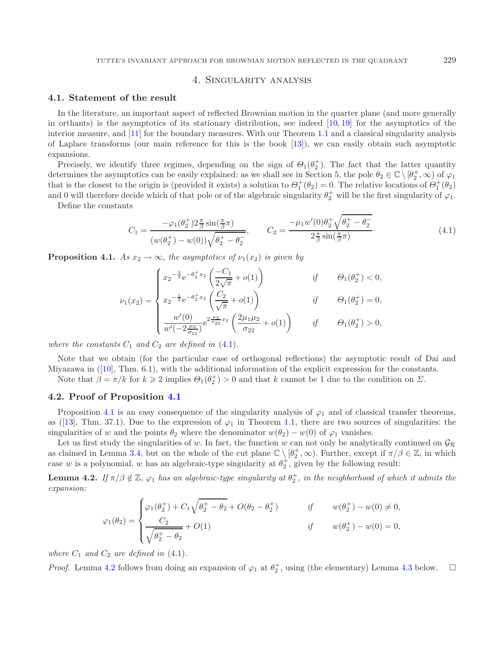## 4. Singularity analysis

## <span id="page-9-1"></span><span id="page-9-0"></span>**4.1. Statement of the result**

In the literature, an important aspect of reflected Brownian motion in the quarter plane (and more generally in orthants) is the asymptotics of its stationary distribution, see indeed [\[10,](#page-14-7) [19](#page-14-8)] for the asymptotics of the interior measure, and [\[11](#page-14-19)] for the boundary measures. With our Theorem [1.1](#page-2-0) and a classical singularity analysis of Laplace transforms (our main reference for this is the book [\[13](#page-14-13)]), we can easily obtain such asymptotic expansions.

Precisely, we identify three regimes, depending on the sign of  $\Theta_1(\theta_2^+)$ . The fact that the latter quantity termines the asymptotics can be easily explained; as we shall see in Section 5, the pole  $\theta_0 \in \mathbb{C} \setminus [\theta^+ \$ determines the asymptotics can be easily explained: as we shall see in Section [5,](#page-10-0) the pole  $\theta_2 \in \mathbb{C} \setminus [\theta_2^+, \infty)$  of  $\varphi_1$ <br>that is the closest to the origin is (provided it exists) a solution to  $\Theta^+(\theta_2) = 0$ . The that is the closest to the origin is (provided it exists) a solution to  $\Theta_{1}^{+}(\theta_{2}) = 0$ . The relative locations of  $\Theta_{1}^{+}(\theta_{2})$ <br>and 0 will therefore decide which of that pole or of the algebraic singularity  $\theta_{1}^{+$ and 0 will therefore decide which of that pole or of the algebraic singularity  $\theta_2^+$  will be the first singularity of  $\varphi_1$ .

Define the constants

$$
C_1 = \frac{-\varphi_1(\theta_2^+) 2\frac{\pi}{\beta} \sin(\frac{\pi}{\beta}\pi)}{(w(\theta_2^+) - w(0))\sqrt{\theta_2^+ - \theta_2^-}}, \qquad C_2 = \frac{-\mu_1 w'(0)\theta_2^+ \sqrt{\theta_2^+ - \theta_2^-}}{2\frac{\pi}{\beta} \sin(\frac{\pi}{\beta}\pi)}.
$$
(4.1)

<span id="page-9-2"></span>**Proposition 4.1.** *As*  $x_2 \rightarrow \infty$ *, the asymptotics of*  $\nu_1(x_2)$  *is given by* 

$$
\nu_1(x_2) = \begin{cases}\nx_2^{-\frac{3}{2}} e^{-\theta_2^+ x_2} \left( \frac{-C_1}{2\sqrt{\pi}} + o(1) \right) & \text{if } \theta_1(\theta_2^+) < 0, \\
x_2^{-\frac{1}{2}} e^{-\theta_2^+ x_2} \left( \frac{C_2}{\sqrt{\pi}} + o(1) \right) & \text{if } \theta_1(\theta_2^+) = 0, \\
\frac{w'(0)}{w'(-2\frac{\mu_2}{\sigma_{22}})} e^{2\frac{\mu_2}{\sigma_{22}} x_2} \left( \frac{2\mu_1 \mu_2}{\sigma_{22}} + o(1) \right) & \text{if } \theta_1(\theta_2^+) > 0,\n\end{cases}
$$

*where the constants*  $C_1$  *and*  $C_2$  *are defined in*  $(4.1)$ *.* 

Note that we obtain (for the particular case of orthogonal reflections) the asymptotic result of Dai and Miyazawa in ([\[10](#page-14-7)], Thm. 6.1), with the additional information of the explicit expression for the constants.

Note that  $\beta = \pi/k$  for  $k \geq 2$  implies  $\Theta_1(\theta_2^+) > 0$  and that k cannot be 1 due to the condition on  $\Sigma$ .

#### **4.2. Proof of Proposition [4.1](#page-9-2)**

Proposition [4.1](#page-9-2) is an easy consequence of the singularity analysis of  $\varphi_1$  and of classical transfer theorems, as ([\[13](#page-14-13)], Thm. 37.1). Due to the expression of  $\varphi_1$  in Theorem [1.1,](#page-2-0) there are two sources of singularities: the singularities of w and the points  $\theta_2$  where the denominator  $w(\theta_2) - w(0)$  of  $\varphi_1$  vanishes.

Let us first study the singularities of w. In fact, the function w can not only be analytically continued on  $\mathcal{G}_R$ as claimed in Lemma [3.4,](#page-6-4) but on the whole of the cut plane  $\mathbb{C} \setminus [\theta_2^+, \infty)$ . Further, except if  $\pi/\beta \in \mathbb{Z}$ , in which case w is a polynomial, w has an algebraic-type singularity at  $\theta_2^+$ , given by the following result:

<span id="page-9-3"></span>**Lemma 4.2.** *If*  $\pi/\beta \notin \mathbb{Z}$ ,  $\varphi_1$  *has an algebraic-type singularity at*  $\theta_2^+$ *, in the neighborhood of which it admits the* expansion. *expansion:*

$$
\varphi_1(\theta_2) = \begin{cases} \varphi_1(\theta_2^+) + C_1 \sqrt{\theta_2^+ - \theta_2} + O(\theta_2 - \theta_2^+) & \text{if} & w(\theta_2^+) - w(0) \neq 0, \\ C_2 & + O(1) & \text{if} & w(\theta_2^+) - w(0) = 0, \\ \sqrt{\theta_2^+ - \theta_2} & \text{if} & w(\theta_2^+) - w(0) = 0, \end{cases}
$$

*where*  $C_1$  *and*  $C_2$  *are defined in*  $(4.1)$ *.* 

*Proof.* Lemma [4.2](#page-9-3) follows from doing an expansion of  $\varphi_1$  at  $\theta_2^+$ , using (the elementary) Lemma [4.3](#page-10-1) below.  $\Box$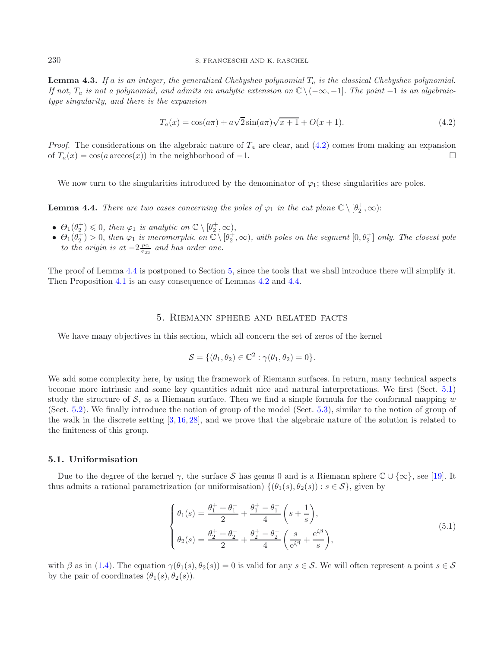<span id="page-10-1"></span>**Lemma 4.3.** *If* a *is an integer, the generalized Chebyshev polynomial* T<sup>a</sup> *is the classical Chebyshev polynomial. If not,*  $T_a$  *is not a polynomial, and admits an analytic extension on*  $\mathbb{C} \setminus (-\infty, -1]$ *. The point* −1 *is an algebraictype singularity, and there is the expansion*

<span id="page-10-2"></span>
$$
T_a(x) = \cos(a\pi) + a\sqrt{2}\sin(a\pi)\sqrt{x+1} + O(x+1).
$$
 (4.2)

*Proof.* The considerations on the algebraic nature of  $T_a$  are clear, and  $(4.2)$  comes from making an expansion of  $T_a(x) = \cos(a \arccos(x))$  in the neighborhood of -1.

We now turn to the singularities introduced by the denominator of  $\varphi_1$ ; these singularities are poles.

<span id="page-10-3"></span>**Lemma 4.4.** *There are two cases concerning the poles of*  $\varphi_1$  *in the cut plane*  $\mathbb{C} \setminus [\theta_2^+, \infty)$ :

- $\Theta_1(\theta_2^+) \leq 0$ , then  $\varphi_1$  is analytic on  $\mathbb{C} \setminus [\theta_2^+, \infty)$ ,<br>
  $\Theta_1(\theta_1^+) > 0$ , then  $\varphi_2$  is meromorphic on  $\mathbb{C} \setminus [\theta_1^+]$
- $\Theta_1(\theta_2^+) > 0$ , then  $\varphi_1$  is meromorphic on  $\mathbb{C} \setminus [\theta_2^+, \infty)$ , with poles on the segment  $[0, \theta_2^+]$  only. The closest pole<br>to the origin is at  $-2^{\frac{\mu_2}{2}}$  and has order one *to the origin is at*  $-2\frac{\mu_2}{\sigma_{22}}$  *and has order one.*

<span id="page-10-0"></span>The proof of Lemma [4.4](#page-10-3) is postponed to Section [5,](#page-10-0) since the tools that we shall introduce there will simplify it. Then Proposition [4.1](#page-9-2) is an easy consequence of Lemmas [4.2](#page-9-3) and [4.4.](#page-10-3)

### 5. Riemann sphere and related facts

We have many objectives in this section, which all concern the set of zeros of the kernel

<span id="page-10-5"></span>
$$
\mathcal{S} = \{(\theta_1, \theta_2) \in \mathbb{C}^2 : \gamma(\theta_1, \theta_2) = 0\}.
$$

We add some complexity here, by using the framework of Riemann surfaces. In return, many technical aspects become more intrinsic and some key quantities admit nice and natural interpretations. We first (Sect. [5.1\)](#page-10-4) study the structure of  $S$ , as a Riemann surface. Then we find a simple formula for the conformal mapping w (Sect. [5.2\)](#page-11-1). We finally introduce the notion of group of the model (Sect. [5.3\)](#page-12-0), similar to the notion of group of the walk in the discrete setting [\[3](#page-13-2), [16,](#page-14-11) [28\]](#page-14-20), and we prove that the algebraic nature of the solution is related to the finiteness of this group.

#### <span id="page-10-4"></span>**5.1. Uniformisation**

Due to the degree of the kernel  $\gamma$ , the surface S has genus 0 and is a Riemann sphere  $\mathbb{C} \cup {\infty}$ , see [\[19](#page-14-8)]. It thus admits a rational parametrization (or uniformisation)  $\{(\theta_1(s), \theta_2(s)) : s \in \mathcal{S}\}\)$ , given by

$$
\begin{cases}\n\theta_1(s) = \frac{\theta_1^+ + \theta_1^-}{2} + \frac{\theta_1^+ - \theta_1^-}{4} \left(s + \frac{1}{s}\right), \\
\theta_2(s) = \frac{\theta_2^+ + \theta_2^-}{2} + \frac{\theta_2^+ - \theta_2^-}{4} \left(\frac{s}{e^{i\beta}} + \frac{e^{i\beta}}{s}\right),\n\end{cases} (5.1)
$$

with  $\beta$  as in [\(1.4\)](#page-2-2). The equation  $\gamma(\theta_1(s), \theta_2(s)) = 0$  is valid for any  $s \in \mathcal{S}$ . We will often represent a point  $s \in \mathcal{S}$ by the pair of coordinates  $(\theta_1(s), \theta_2(s))$ .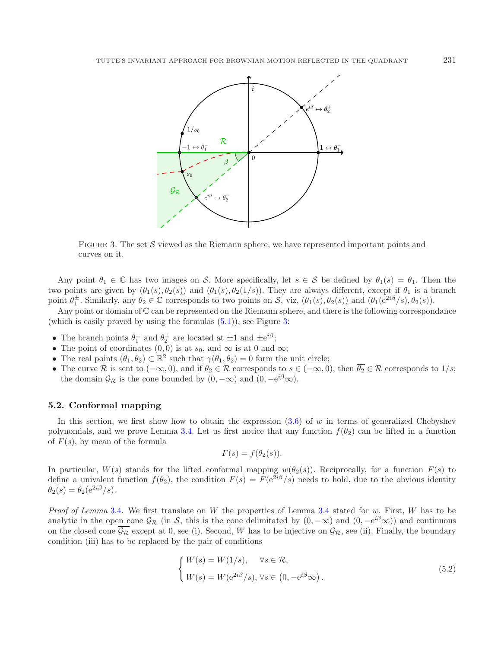<span id="page-11-0"></span>

FIGURE 3. The set S viewed as the Riemann sphere, we have represented important points and curves on it.

Any point  $\theta_1 \in \mathbb{C}$  has two images on S. More specifically, let  $s \in \mathcal{S}$  be defined by  $\theta_1(s) = \theta_1$ . Then the two points are given by  $(\theta_1(s), \theta_2(s))$  and  $(\theta_1(s), \theta_2(1/s))$ . They are always different, except if  $\theta_1$  is a branch point  $\theta_1^{\pm}$ . Similarly, any  $\theta_2 \in \mathbb{C}$  corresponds to two points on S, viz,  $(\theta_1(s), \theta_2(s))$  and  $(\theta_1(e^{2i\beta}/s), \theta_2(s))$ .

Any point or domain of  $\mathbb C$  can be represented on the Riemann sphere, and there is the following correspondance (which is easily proved by using the formulas  $(5.1)$ ), see Figure [3:](#page-11-0)

- The branch points  $\theta_1^{\pm}$  and  $\theta_2^{\pm}$  are located at  $\pm 1$  and  $\pm e^{i\beta}$ ;<br> **1.** The point of coordinates (0,0) is at so, and  $\infty$  is at 0 and
- The point of coordinates  $(0,0)$  is at  $s_0$ , and  $\infty$  is at 0 and  $\infty$ ;
- The real points  $(\theta_1, \theta_2) \subset \mathbb{R}^2$  such that  $\gamma(\theta_1, \theta_2) = 0$  form the unit circle;
- The curve R is sent to  $(-\infty, 0)$ , and if  $\theta_2 \in \mathcal{R}$  corresponds to  $s \in (-\infty, 0)$ , then  $\overline{\theta_2} \in \mathcal{R}$  corresponds to  $1/s$ ; the domain  $\mathcal{G}_{\mathcal{R}}$  is the cone bounded by  $(0, -\infty)$  and  $(0, -e^{i\beta}\infty)$ .

## <span id="page-11-1"></span>**5.2. Conformal mapping**

In this section, we first show how to obtain the expression  $(3.6)$  of w in terms of generalized Chebyshev polynomials, and we prove Lemma [3.4.](#page-6-4) Let us first notice that any function  $f(\theta_2)$  can be lifted in a function of  $F(s)$ , by mean of the formula

<span id="page-11-2"></span>
$$
F(s) = f(\theta_2(s)).
$$

In particular,  $W(s)$  stands for the lifted conformal mapping  $w(\theta_2(s))$ . Reciprocally, for a function  $F(s)$  to define a univalent function  $f(\theta_2)$ , the condition  $F(s) = F(e^{2i\beta}/s)$  needs to hold, due to the obvious identity  $\theta_2(s) = \theta_2(e^{2i\beta}/s).$ 

*Proof of Lemma* [3.4](#page-6-4). We first translate on W the properties of Lemma 3.4 stated for w. First, W has to be analytic in the open cone  $\mathcal{G}_{\mathcal{R}}$  (in S, this is the cone delimitated by  $(0, -\infty)$  and  $(0, -e^{i\beta}\infty)$ ) and continuous on the closed cone  $\overline{\mathcal{G}_{\mathcal{R}}}$  except at 0, see (i). Second, W has to be injective on  $\mathcal{G}_{\mathcal{R}}$ , see (ii). Finally, the boundary condition (iii) has to be replaced by the pair of conditions

$$
\begin{cases} W(s) = W(1/s), & \forall s \in \mathcal{R}, \\ W(s) = W(e^{2i\beta}/s), \forall s \in \left(0, -e^{i\beta}\infty\right). \end{cases}
$$
\n
$$
(5.2)
$$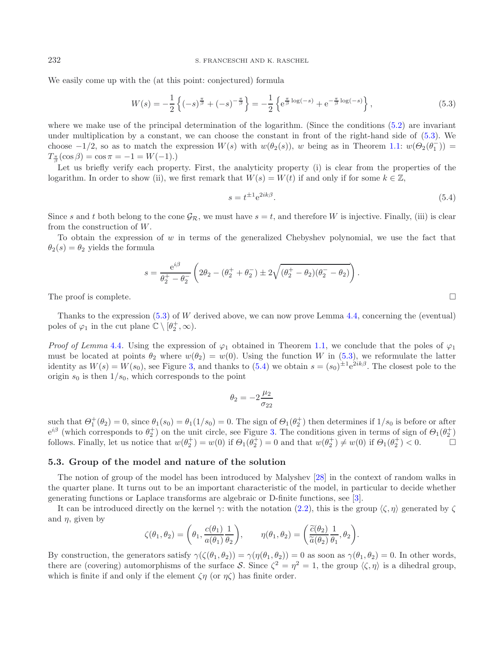We easily come up with the (at this point: conjectured) formula

<span id="page-12-1"></span>
$$
W(s) = -\frac{1}{2} \left\{ (-s)^{\frac{\pi}{\beta}} + (-s)^{-\frac{\pi}{\beta}} \right\} = -\frac{1}{2} \left\{ e^{\frac{\pi}{\beta} \log(-s)} + e^{-\frac{\pi}{\beta} \log(-s)} \right\},
$$
\n(5.3)

where we make use of the principal determination of the logarithm. (Since the conditions  $(5.2)$ ) are invariant under multiplication by a constant, we can choose the constant in front of the right-hand side of [\(5.3\)](#page-12-1). We choose  $-1/2$ , so as to match the expression  $W(s)$  with  $w(\theta_2(s))$ , w being as in Theorem [1.1:](#page-2-0)  $w(\theta_2(\theta_1^-)) =$ <br> $T^*(\cos \theta) = \cos \pi = -1 - W(-1)$  $T_{\frac{\pi}{\beta}}(\cos \beta) = \cos \pi = -1 = W(-1).$ 

Let us briefly verify each property. First, the analyticity property (i) is clear from the properties of the logarithm. In order to show (ii), we first remark that  $W(s) = W(t)$  if and only if for some  $k \in \mathbb{Z}$ ,

<span id="page-12-2"></span>
$$
s = t^{\pm 1} e^{2ik\beta}.\tag{5.4}
$$

Since s and t both belong to the cone  $\mathcal{G}_{\mathcal{R}}$ , we must have  $s = t$ , and therefore W is injective. Finally, (iii) is clear from the construction of W.

To obtain the expression of  $w$  in terms of the generalized Chebyshev polynomial, we use the fact that  $\theta_2(s) = \theta_2$  yields the formula

$$
s = \frac{e^{i\beta}}{\theta_2^+ - \theta_2^-} \left( 2\theta_2 - (\theta_2^+ + \theta_2^-) \pm 2\sqrt{(\theta_2^+ - \theta_2)(\theta_2^- - \theta_2)} \right).
$$

The proof is complete.  $\Box$ 

Thanks to the expression  $(5.3)$  of W derived above, we can now prove Lemma [4.4,](#page-10-3) concerning the (eventual) poles of  $\varphi_1$  in the cut plane  $\mathbb{C} \setminus [\theta_2^+, \infty)$ .

*Proof of Lemma* [4.4](#page-10-3). Using the expression of  $\varphi_1$  obtained in Theorem [1.1,](#page-2-0) we conclude that the poles of  $\varphi_1$ must be located at points  $\theta_2$  where  $w(\theta_2) = w(0)$ . Using the function W in [\(5.3\)](#page-12-1), we reformulate the latter identity as  $W(s) = W(s_0)$ , see Figure [3,](#page-11-0) and thanks to [\(5.4\)](#page-12-2) we obtain  $s = (s_0)^{\pm 1} e^{2ik\beta}$ . The closest pole to the origin  $s_0$  is then  $1/s_0$ , which corresponds to the point

$$
\theta_2 = -2\frac{\mu_2}{\sigma_{22}}
$$

such that  $\Theta_{1}^{+}(\theta_{2}) = 0$ , since  $\theta_{1}(s_{0}) = \theta_{1}(1/s_{0}) = 0$ . The sign of  $\Theta_{1}(\theta_{2}^{+})$  then determines if  $1/s_{0}$  is before or after  $\theta_{1}^{i\beta}$  (which corresponds to  $\theta_{1}^{+}$ ) on the unit circle see Figure 3. The  $e^{i\beta}$  (which corresponds to  $\theta_2^+$ ) on the unit circle, see Figure [3.](#page-11-0) The conditions given in terms of sign of  $\theta_1(\theta_2^+)$ <br>follows Finally let us notice that  $w(\theta_1^+) = w(0)$  if  $\Theta_1(\theta_1^+) = 0$  and that  $w(\theta_1^+) \neq w(0$ follows. Finally, let us notice that  $w(\theta_2^+) = w(0)$  if  $\Theta_1(\theta_2^+) = 0$  and that  $w(\theta_2^+) \neq w(0)$  if  $\Theta_1(\theta_2^+) < 0$ .

## <span id="page-12-0"></span>**5.3. Group of the model and nature of the solution**

The notion of group of the model has been introduced by Malyshev [\[28\]](#page-14-20) in the context of random walks in the quarter plane. It turns out to be an important characteristic of the model, in particular to decide whether generating functions or Laplace transforms are algebraic or D-finite functions, see [\[3\]](#page-13-2).

It can be introduced directly on the kernel  $\gamma$ : with the notation [\(2.2\)](#page-4-4), this is the group  $\langle \zeta, \eta \rangle$  generated by  $\zeta$ and  $\eta$ , given by

$$
\zeta(\theta_1, \theta_2) = \left(\theta_1, \frac{c(\theta_1)}{a(\theta_1)}\frac{1}{\theta_2}\right), \qquad \eta(\theta_1, \theta_2) = \left(\frac{\widetilde{c}(\theta_2)}{\widetilde{a}(\theta_2)}\frac{1}{\theta_1}, \theta_2\right).
$$

By construction, the generators satisfy  $\gamma(\zeta(\theta_1, \theta_2)) = \gamma(\eta(\theta_1, \theta_2)) = 0$  as soon as  $\gamma(\theta_1, \theta_2) = 0$ . In other words, there are (covering) automorphisms of the surface S. Since  $\zeta^2 = \eta^2 = 1$ , the group  $\langle \zeta, \eta \rangle$  is a dihedral group. which is finite if and only if the element  $\zeta \eta$  (or  $\eta \zeta$ ) has finite order.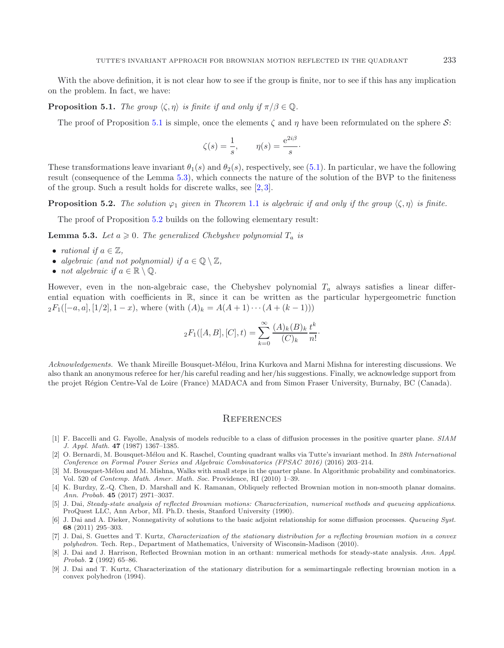<span id="page-13-9"></span>With the above definition, it is not clear how to see if the group is finite, nor to see if this has any implication on the problem. In fact, we have:

**Proposition 5.1.** *The group*  $\langle \zeta, \eta \rangle$  *is finite if and only if*  $\pi/\beta \in \mathbb{Q}$ *.* 

The proof of Proposition [5.1](#page-13-9) is simple, once the elements  $\zeta$  and  $\eta$  have been reformulated on the sphere S:

<span id="page-13-11"></span><span id="page-13-10"></span>
$$
\zeta(s) = \frac{1}{s}, \qquad \eta(s) = \frac{e^{2i\beta}}{s}.
$$

These transformations leave invariant  $\theta_1(s)$  and  $\theta_2(s)$ , respectively, see [\(5.1\)](#page-10-5). In particular, we have the following result (consequence of the Lemma [5.3\)](#page-13-10), which connects the nature of the solution of the BVP to the finiteness of the group. Such a result holds for discrete walks, see [\[2](#page-13-1), [3](#page-13-2)].

**Proposition 5.2.** *The solution*  $\varphi_1$  *given in Theorem* [1.1](#page-2-0) *is algebraic if and only if the group*  $\langle \zeta, \eta \rangle$  *is finite.* 

The proof of Proposition [5.2](#page-13-11) builds on the following elementary result:

**Lemma 5.3.** *Let*  $a \ge 0$ *. The generalized Chebyshev polynomial*  $T_a$  *is* 

- *rational if*  $a \in \mathbb{Z}$ ,
- *algebraic (and not polynomial) if*  $a \in \mathbb{Q} \setminus \mathbb{Z}$ ,
- *not algebraic if*  $a \in \mathbb{R} \setminus \mathbb{Q}$ .

However, even in the non-algebraic case, the Chebyshev polynomial  $T_a$  always satisfies a linear differential equation with coefficients in  $\mathbb{R}$ , since it can be written as the particular hypergeometric function  ${}_2F_1([-a, a], [1/2], 1-x)$ , where (with  $(A)_k = A(A + 1) \cdots (A + (k-1)))$ 

$$
{}_2F_1([A, B], [C], t) = \sum_{k=0}^{\infty} \frac{(A)_k (B)_k}{(C)_k} \frac{t^k}{n!}.
$$

*Acknowledgements.* We thank Mireille Bousquet-M´elou, Irina Kurkova and Marni Mishna for interesting discussions. We also thank an anonymous referee for her/his careful reading and her/his suggestions. Finally, we acknowledge support from the projet R´egion Centre-Val de Loire (France) MADACA and from Simon Fraser University, Burnaby, BC (Canada).

## **REFERENCES**

- <span id="page-13-0"></span>[1] F. Baccelli and G. Fayolle, Analysis of models reducible to a class of diffusion processes in the positive quarter plane. SIAM J. Appl. Math. **47** (1987) 1367–1385.
- <span id="page-13-1"></span>[2] O. Bernardi, M. Bousquet-Mélou and K. Raschel, Counting quadrant walks via Tutte's invariant method. In 28th International Conference on Formal Power Series and Algebraic Combinatorics (FPSAC 2016) (2016) 203–214.
- <span id="page-13-2"></span>[3] M. Bousquet-Mélou and M. Mishna, Walks with small steps in the quarter plane. In Algorithmic probability and combinatorics. Vol. 520 of Contemp. Math. Amer. Math. Soc. Providence, RI (2010) 1–39.
- <span id="page-13-3"></span>[4] K. Burdzy, Z.-Q. Chen, D. Marshall and K. Ramanan, Obliquely reflected Brownian motion in non-smooth planar domains. Ann. Probab. **45** (2017) 2971–3037.
- <span id="page-13-4"></span>[5] J. Dai, Steady-state analysis of reflected Brownian motions: Characterization, numerical methods and queueing applications. ProQuest LLC, Ann Arbor, MI. Ph.D. thesis, Stanford University (1990).
- <span id="page-13-6"></span>[6] J. Dai and A. Dieker, Nonnegativity of solutions to the basic adjoint relationship for some diffusion processes. Queueing Syst. **68** (2011) 295–303.
- <span id="page-13-7"></span>[7] J. Dai, S. Guettes and T. Kurtz, Characterization of the stationary distribution for a reflecting brownian motion in a convex polyhedron. Tech. Rep., Department of Mathematics, University of Wisconsin-Madison (2010).
- <span id="page-13-5"></span>[8] J. Dai and J. Harrison, Reflected Brownian motion in an orthant: numerical methods for steady-state analysis. Ann. Appl. Probab. **2** (1992) 65–86.
- <span id="page-13-8"></span>[9] J. Dai and T. Kurtz, Characterization of the stationary distribution for a semimartingale reflecting brownian motion in a convex polyhedron (1994).